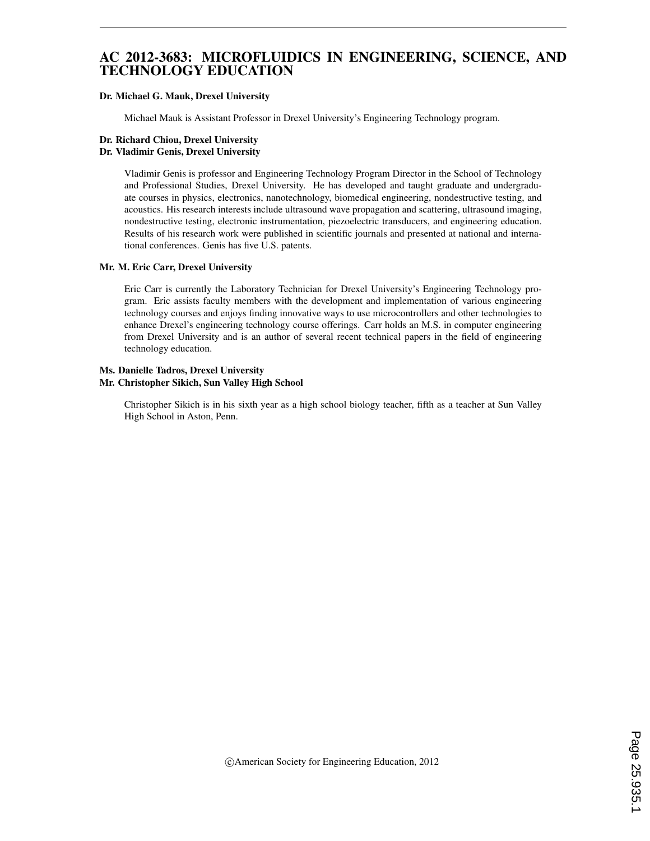# AC 2012-3683: MICROFLUIDICS IN ENGINEERING, SCIENCE, AND TECHNOLOGY EDUCATION

### Dr. Michael G. Mauk, Drexel University

Michael Mauk is Assistant Professor in Drexel University's Engineering Technology program.

### Dr. Richard Chiou, Drexel University

### Dr. Vladimir Genis, Drexel University

Vladimir Genis is professor and Engineering Technology Program Director in the School of Technology and Professional Studies, Drexel University. He has developed and taught graduate and undergraduate courses in physics, electronics, nanotechnology, biomedical engineering, nondestructive testing, and acoustics. His research interests include ultrasound wave propagation and scattering, ultrasound imaging, nondestructive testing, electronic instrumentation, piezoelectric transducers, and engineering education. Results of his research work were published in scientific journals and presented at national and international conferences. Genis has five U.S. patents.

### Mr. M. Eric Carr, Drexel University

Eric Carr is currently the Laboratory Technician for Drexel University's Engineering Technology program. Eric assists faculty members with the development and implementation of various engineering technology courses and enjoys finding innovative ways to use microcontrollers and other technologies to enhance Drexel's engineering technology course offerings. Carr holds an M.S. in computer engineering from Drexel University and is an author of several recent technical papers in the field of engineering technology education.

#### Ms. Danielle Tadros, Drexel University Mr. Christopher Sikich, Sun Valley High School

Christopher Sikich is in his sixth year as a high school biology teacher, fifth as a teacher at Sun Valley High School in Aston, Penn.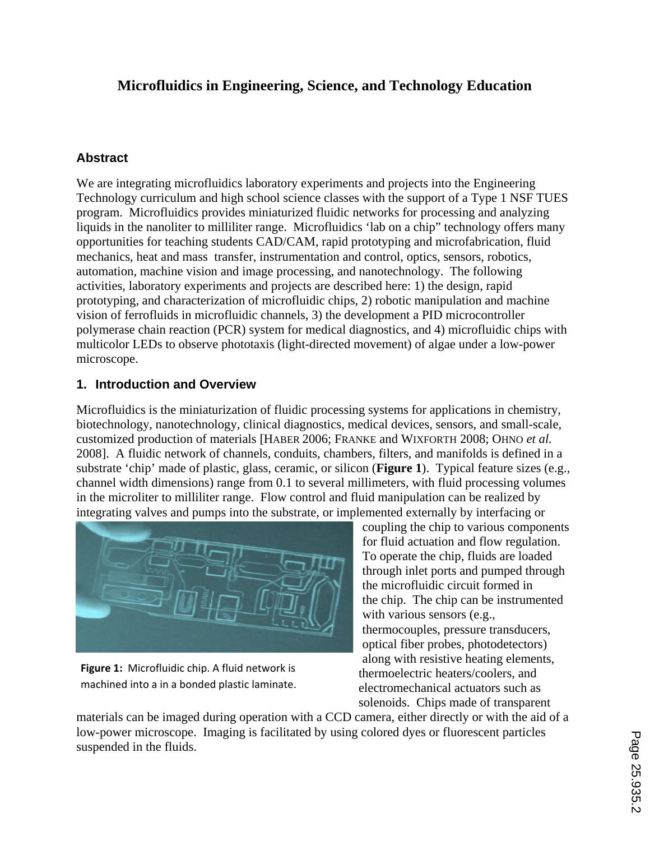# **Microfluidics in Engineering, Science, and Technology Education**

## **Abstract**

We are integrating microfluidics laboratory experiments and projects into the Engineering Technology curriculum and high school science classes with the support of a Type 1 NSF TUES program. Microfluidics provides miniaturized fluidic networks for processing and analyzing liquids in the nanoliter to milliliter range. Microfluidics 'lab on a chip" technology offers many opportunities for teaching students CAD/CAM, rapid prototyping and microfabrication, fluid mechanics, heat and mass transfer, instrumentation and control, optics, sensors, robotics, automation, machine vision and image processing, and nanotechnology. The following activities, laboratory experiments and projects are described here: 1) the design, rapid prototyping, and characterization of microfluidic chips, 2) robotic manipulation and machine vision of ferrofluids in microfluidic channels, 3) the development a PID microcontroller polymerase chain reaction (PCR) system for medical diagnostics, and 4) microfluidic chips with multicolor LEDs to observe phototaxis (light-directed movement) of algae under a low-power microscope.

# **1. Introduction and Overview**

Microfluidics is the miniaturization of fluidic processing systems for applications in chemistry, biotechnology, nanotechnology, clinical diagnostics, medical devices, sensors, and small-scale, customized production of materials [HABER 2006; FRANKE and WIXFORTH 2008; OHNO *et al.* 2008]. A fluidic network of channels, conduits, chambers, filters, and manifolds is defined in a substrate 'chip' made of plastic, glass, ceramic, or silicon (**Figure 1**). Typical feature sizes (e.g., channel width dimensions) range from 0.1 to several millimeters, with fluid processing volumes in the microliter to milliliter range. Flow control and fluid manipulation can be realized by integrating valves and pumps into the substrate, or implemented externally by interfacing or



**Figure 1:** Microfluidic chip. A fluid network is machined into a in a bonded plastic laminate.

coupling the chip to various components for fluid actuation and flow regulation. To operate the chip, fluids are loaded through inlet ports and pumped through the microfluidic circuit formed in the chip. The chip can be instrumented with various sensors (e.g., thermocouples, pressure transducers, optical fiber probes, photodetectors) along with resistive heating elements, thermoelectric heaters/coolers, and electromechanical actuators such as solenoids. Chips made of transparent

materials can be imaged during operation with a CCD camera, either directly or with the aid of a low-power microscope. Imaging is facilitated by using colored dyes or fluorescent particles suspended in the fluids.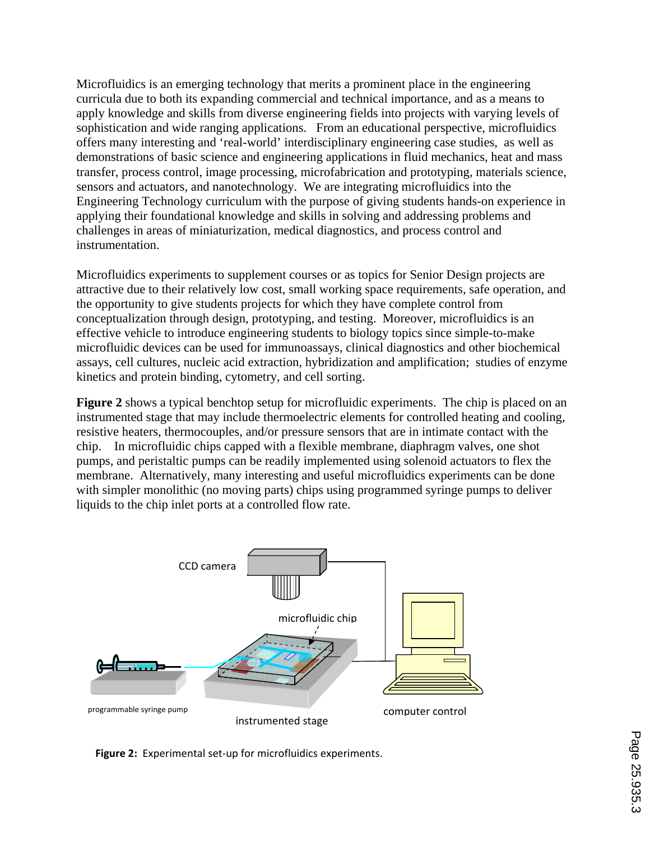Microfluidics is an emerging technology that merits a prominent place in the engineering curricula due to both its expanding commercial and technical importance, and as a means to apply knowledge and skills from diverse engineering fields into projects with varying levels of sophistication and wide ranging applications. From an educational perspective, microfluidics offers many interesting and 'real-world' interdisciplinary engineering case studies, as well as demonstrations of basic science and engineering applications in fluid mechanics, heat and mass transfer, process control, image processing, microfabrication and prototyping, materials science, sensors and actuators, and nanotechnology. We are integrating microfluidics into the Engineering Technology curriculum with the purpose of giving students hands-on experience in applying their foundational knowledge and skills in solving and addressing problems and challenges in areas of miniaturization, medical diagnostics, and process control and instrumentation.

Microfluidics experiments to supplement courses or as topics for Senior Design projects are attractive due to their relatively low cost, small working space requirements, safe operation, and the opportunity to give students projects for which they have complete control from conceptualization through design, prototyping, and testing. Moreover, microfluidics is an effective vehicle to introduce engineering students to biology topics since simple-to-make microfluidic devices can be used for immunoassays, clinical diagnostics and other biochemical assays, cell cultures, nucleic acid extraction, hybridization and amplification; studies of enzyme kinetics and protein binding, cytometry, and cell sorting.

**Figure 2** shows a typical benchtop setup for microfluidic experiments. The chip is placed on an instrumented stage that may include thermoelectric elements for controlled heating and cooling, resistive heaters, thermocouples, and/or pressure sensors that are in intimate contact with the chip. In microfluidic chips capped with a flexible membrane, diaphragm valves, one shot pumps, and peristaltic pumps can be readily implemented using solenoid actuators to flex the membrane. Alternatively, many interesting and useful microfluidics experiments can be done with simpler monolithic (no moving parts) chips using programmed syringe pumps to deliver liquids to the chip inlet ports at a controlled flow rate.



**Figure 2:** Experimental set‐up for microfluidics experiments.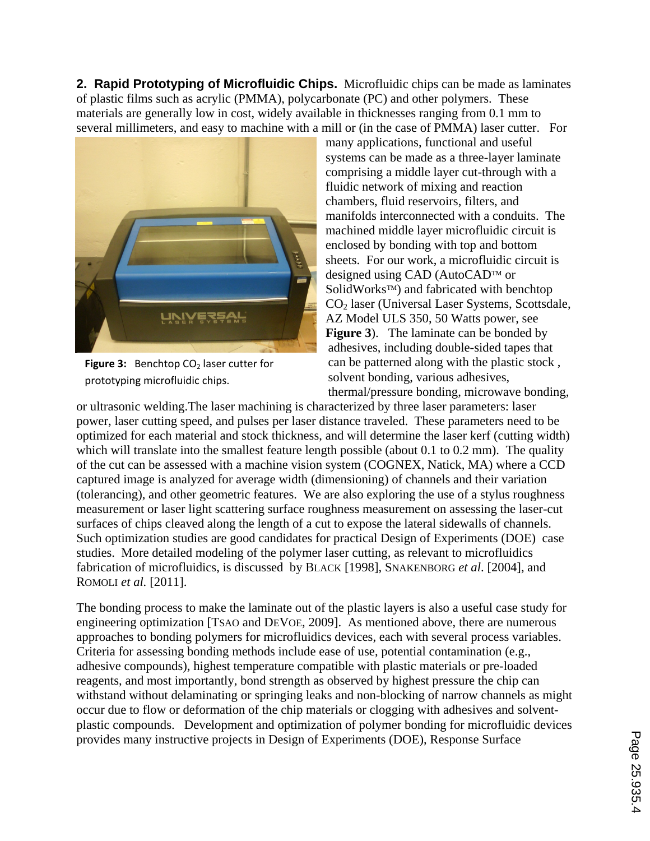**2. Rapid Prototyping of Microfluidic Chips.** Microfluidic chips can be made as laminates of plastic films such as acrylic (PMMA), polycarbonate (PC) and other polymers. These materials are generally low in cost, widely available in thicknesses ranging from 0.1 mm to several millimeters, and easy to machine with a mill or (in the case of PMMA) laser cutter. For



**Figure 3:** Benchtop CO<sub>2</sub> laser cutter for prototyping microfluidic chips.

many applications, functional and useful systems can be made as a three-layer laminate comprising a middle layer cut-through with a fluidic network of mixing and reaction chambers, fluid reservoirs, filters, and manifolds interconnected with a conduits. The machined middle layer microfluidic circuit is enclosed by bonding with top and bottom sheets. For our work, a microfluidic circuit is designed using CAD (AutoCAD<sup>TM</sup> or SolidWorks<sup>TM</sup>) and fabricated with benchtop CO2 laser (Universal Laser Systems, Scottsdale, AZ Model ULS 350, 50 Watts power, see **Figure 3**). The laminate can be bonded by adhesives, including double-sided tapes that can be patterned along with the plastic stock , solvent bonding, various adhesives, thermal/pressure bonding, microwave bonding,

or ultrasonic welding.The laser machining is characterized by three laser parameters: laser power, laser cutting speed, and pulses per laser distance traveled. These parameters need to be optimized for each material and stock thickness, and will determine the laser kerf (cutting width) which will translate into the smallest feature length possible (about 0.1 to 0.2 mm). The quality of the cut can be assessed with a machine vision system (COGNEX, Natick, MA) where a CCD captured image is analyzed for average width (dimensioning) of channels and their variation (tolerancing), and other geometric features. We are also exploring the use of a stylus roughness measurement or laser light scattering surface roughness measurement on assessing the laser-cut surfaces of chips cleaved along the length of a cut to expose the lateral sidewalls of channels. Such optimization studies are good candidates for practical Design of Experiments (DOE) case studies. More detailed modeling of the polymer laser cutting, as relevant to microfluidics fabrication of microfluidics, is discussed by BLACK [1998], SNAKENBORG *et al*. [2004], and ROMOLI *et al.* [2011].

The bonding process to make the laminate out of the plastic layers is also a useful case study for engineering optimization [TSAO and DEVOE, 2009]. As mentioned above, there are numerous approaches to bonding polymers for microfluidics devices, each with several process variables. Criteria for assessing bonding methods include ease of use, potential contamination (e.g., adhesive compounds), highest temperature compatible with plastic materials or pre-loaded reagents, and most importantly, bond strength as observed by highest pressure the chip can withstand without delaminating or springing leaks and non-blocking of narrow channels as might occur due to flow or deformation of the chip materials or clogging with adhesives and solventplastic compounds. Development and optimization of polymer bonding for microfluidic devices provides many instructive projects in Design of Experiments (DOE), Response Surface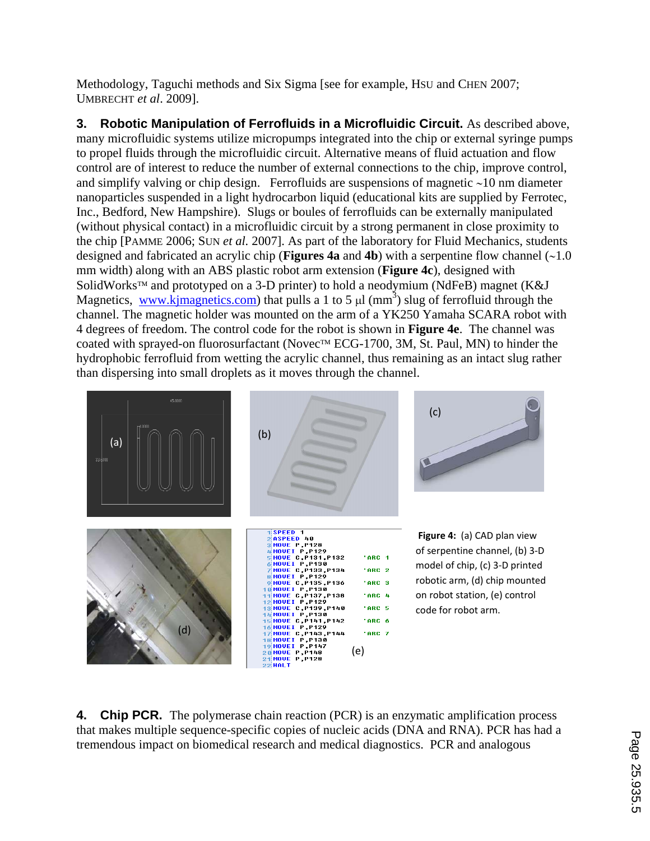Methodology, Taguchi methods and Six Sigma [see for example, Hsu and CHEN 2007; UMBRECHT *et al*. 2009].

**3. Robotic Manipulation of Ferrofluids in a Microfluidic Circuit.** As described above, many microfluidic systems utilize micropumps integrated into the chip or external syringe pumps to propel fluids through the microfluidic circuit. Alternative means of fluid actuation and flow control are of interest to reduce the number of external connections to the chip, improve control, and simplify valving or chip design. Ferrofluids are suspensions of magnetic  $\sim$ 10 nm diameter nanoparticles suspended in a light hydrocarbon liquid (educational kits are supplied by Ferrotec, Inc., Bedford, New Hampshire). Slugs or boules of ferrofluids can be externally manipulated (without physical contact) in a microfluidic circuit by a strong permanent in close proximity to the chip [PAMME 2006; SUN *et al.* 2007]. As part of the laboratory for Fluid Mechanics, students designed and fabricated an acrylic chip (**Figures** 4a and 4b) with a serpentine flow channel  $(\sim 1.0)$ mm width) along with an ABS plastic robot arm extension (**Figure 4c**), designed with SolidWorks<sup> $TM$ </sup> and prototyped on a 3-D printer) to hold a neodymium (NdFeB) magnet (K&J Magnetics, www.kjmagnetics.com) that pulls a 1 to 5  $\mu$ l (mm<sup>3</sup>) slug of ferrofluid through the channel. The magnetic holder was mounted on the arm of a YK250 Yamaha SCARA robot with 4 degrees of freedom. The control code for the robot is shown in **Figure 4e**. The channel was coated with sprayed-on fluorosurfactant (Novec<sup>™</sup> ECG-1700, 3M, St. Paul, MN) to hinder the hydrophobic ferrofluid from wetting the acrylic channel, thus remaining as an intact slug rather than dispersing into small droplets as it moves through the channel.



**4. Chip PCR.** The polymerase chain reaction (PCR) is an enzymatic amplification process that makes multiple sequence-specific copies of nucleic acids (DNA and RNA). PCR has had a tremendous impact on biomedical research and medical diagnostics. PCR and analogous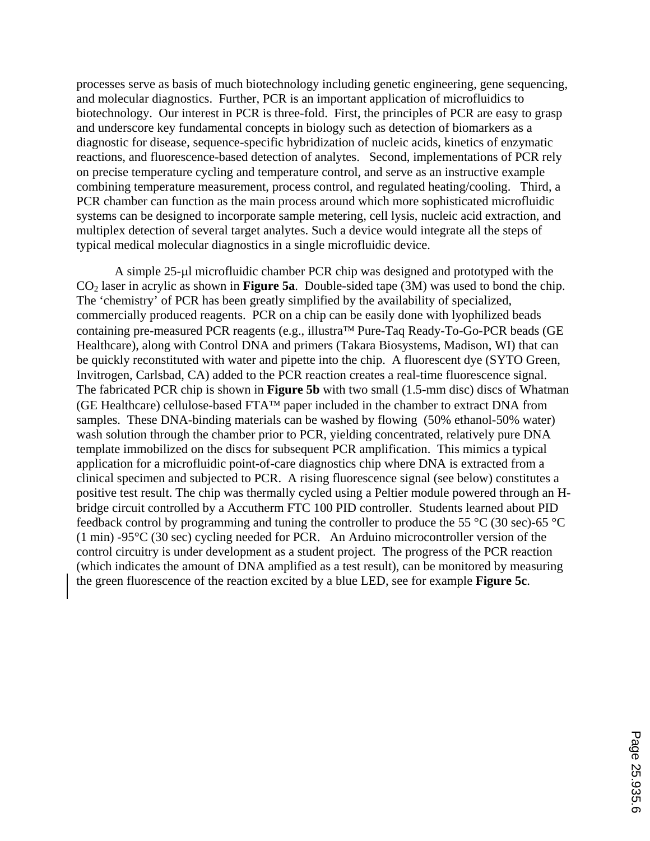processes serve as basis of much biotechnology including genetic engineering, gene sequencing, and molecular diagnostics. Further, PCR is an important application of microfluidics to biotechnology. Our interest in PCR is three-fold. First, the principles of PCR are easy to grasp and underscore key fundamental concepts in biology such as detection of biomarkers as a diagnostic for disease, sequence-specific hybridization of nucleic acids, kinetics of enzymatic reactions, and fluorescence-based detection of analytes. Second, implementations of PCR rely on precise temperature cycling and temperature control, and serve as an instructive example combining temperature measurement, process control, and regulated heating/cooling. Third, a PCR chamber can function as the main process around which more sophisticated microfluidic systems can be designed to incorporate sample metering, cell lysis, nucleic acid extraction, and multiplex detection of several target analytes. Such a device would integrate all the steps of typical medical molecular diagnostics in a single microfluidic device.

A simple 25-µ microfluidic chamber PCR chip was designed and prototyped with the CO2 laser in acrylic as shown in **Figure 5a**. Double-sided tape (3M) was used to bond the chip. The 'chemistry' of PCR has been greatly simplified by the availability of specialized, commercially produced reagents. PCR on a chip can be easily done with lyophilized beads containing pre-measured PCR reagents (e.g., illustra<sup>TM</sup> Pure-Taq Ready-To-Go-PCR beads (GE) Healthcare), along with Control DNA and primers (Takara Biosystems, Madison, WI) that can be quickly reconstituted with water and pipette into the chip. A fluorescent dye (SYTO Green, Invitrogen, Carlsbad, CA) added to the PCR reaction creates a real-time fluorescence signal. The fabricated PCR chip is shown in **Figure 5b** with two small (1.5-mm disc) discs of Whatman (GE Healthcare) cellulose-based  $\text{FTA}^{\text{TM}}$  paper included in the chamber to extract DNA from samples. These DNA-binding materials can be washed by flowing (50% ethanol-50% water) wash solution through the chamber prior to PCR, yielding concentrated, relatively pure DNA template immobilized on the discs for subsequent PCR amplification. This mimics a typical application for a microfluidic point-of-care diagnostics chip where DNA is extracted from a clinical specimen and subjected to PCR. A rising fluorescence signal (see below) constitutes a positive test result. The chip was thermally cycled using a Peltier module powered through an Hbridge circuit controlled by a Accutherm FTC 100 PID controller. Students learned about PID feedback control by programming and tuning the controller to produce the 55 °C (30 sec)-65 °C (1 min) -95°C (30 sec) cycling needed for PCR. An Arduino microcontroller version of the control circuitry is under development as a student project. The progress of the PCR reaction (which indicates the amount of DNA amplified as a test result), can be monitored by measuring the green fluorescence of the reaction excited by a blue LED, see for example **Figure 5c**.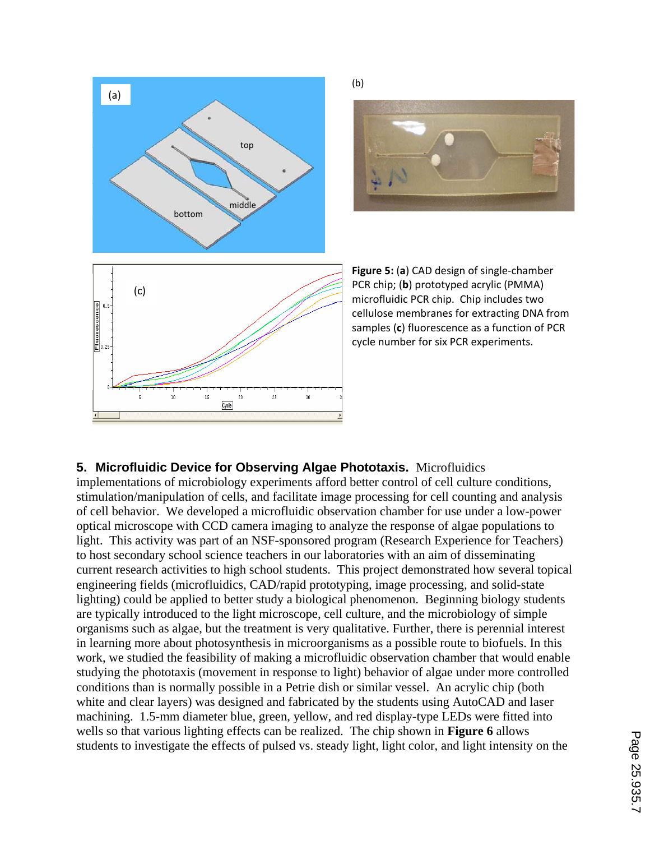



### **5. Microfluidic Device for Observing Algae Phototaxis.** Microfluidics

implementations of microbiology experiments afford better control of cell culture conditions, stimulation/manipulation of cells, and facilitate image processing for cell counting and analysis of cell behavior. We developed a microfluidic observation chamber for use under a low-power optical microscope with CCD camera imaging to analyze the response of algae populations to light. This activity was part of an NSF-sponsored program (Research Experience for Teachers) to host secondary school science teachers in our laboratories with an aim of disseminating current research activities to high school students. This project demonstrated how several topical engineering fields (microfluidics, CAD/rapid prototyping, image processing, and solid-state lighting) could be applied to better study a biological phenomenon. Beginning biology students are typically introduced to the light microscope, cell culture, and the microbiology of simple organisms such as algae, but the treatment is very qualitative. Further, there is perennial interest in learning more about photosynthesis in microorganisms as a possible route to biofuels. In this work, we studied the feasibility of making a microfluidic observation chamber that would enable studying the phototaxis (movement in response to light) behavior of algae under more controlled conditions than is normally possible in a Petrie dish or similar vessel. An acrylic chip (both white and clear layers) was designed and fabricated by the students using AutoCAD and laser machining. 1.5-mm diameter blue, green, yellow, and red display-type LEDs were fitted into wells so that various lighting effects can be realized. The chip shown in **Figure 6** allows students to investigate the effects of pulsed vs. steady light, light color, and light intensity on the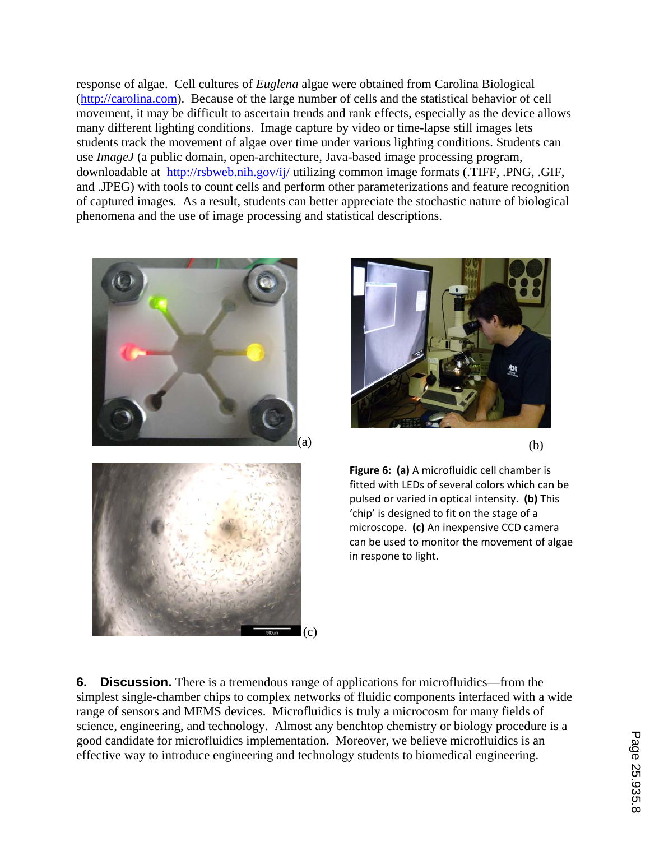response of algae. Cell cultures of *Euglena* algae were obtained from Carolina Biological (http://carolina.com). Because of the large number of cells and the statistical behavior of cell movement, it may be difficult to ascertain trends and rank effects, especially as the device allows many different lighting conditions. Image capture by video or time-lapse still images lets students track the movement of algae over time under various lighting conditions. Students can use *ImageJ* (a public domain, open-architecture, Java-based image processing program, downloadable at http://rsbweb.nih.gov/ij/ utilizing common image formats (.TIFF, .PNG, .GIF, and .JPEG) with tools to count cells and perform other parameterizations and feature recognition of captured images. As a result, students can better appreciate the stochastic nature of biological phenomena and the use of image processing and statistical descriptions.





**Figure 6: (a)** A microfluidic cell chamber is fitted with LEDs of several colors which can be pulsed or varied in optical intensity. **(b)** This 'chip' is designed to fit on the stage of a microscope. **(c)** An inexpensive CCD camera can be used to monitor the movement of algae in respone to light.

**6. Discussion.** There is a tremendous range of applications for microfluidics—from the simplest single-chamber chips to complex networks of fluidic components interfaced with a wide range of sensors and MEMS devices. Microfluidics is truly a microcosm for many fields of science, engineering, and technology. Almost any benchtop chemistry or biology procedure is a good candidate for microfluidics implementation. Moreover, we believe microfluidics is an effective way to introduce engineering and technology students to biomedical engineering.